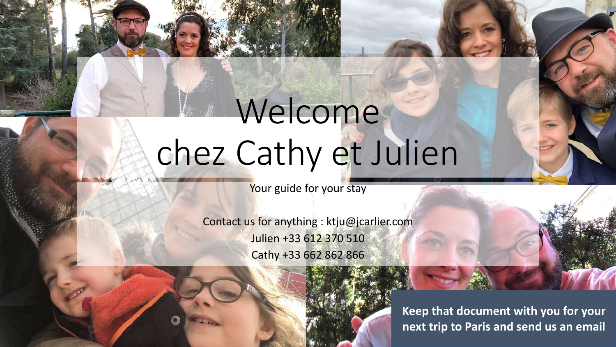# Welcome chez Cathy et Julien

Your guide for your stay

Contact us for anything : ktju@jcarlier.com Julien +33 612 370 510 Cathy +33 662 862 866



**Keep that document with you for your next trip to Paris and send us an email**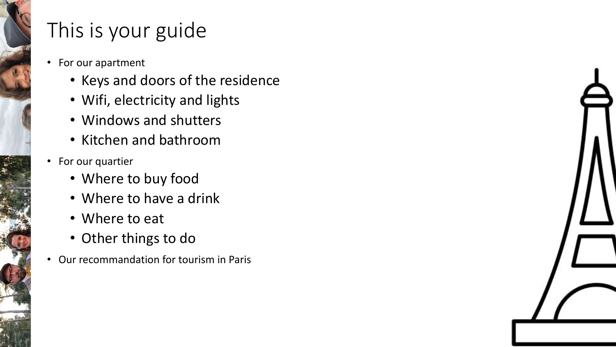## This is your guide

- For our apartment
	- Keys and doors of the residence
	- Wifi, electricity and lights
	- Windows and shutters
	- Kitchen and bathroom
- For our quartier
	- Where to buy food
	- Where to have a drink
	- Where to eat
	- Other things to do
- Our recommandation for tourism in Paris

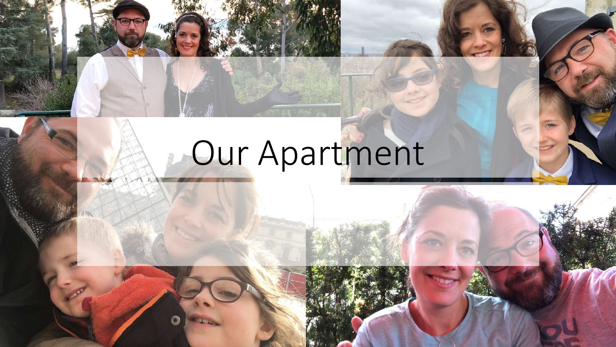# Our Apartment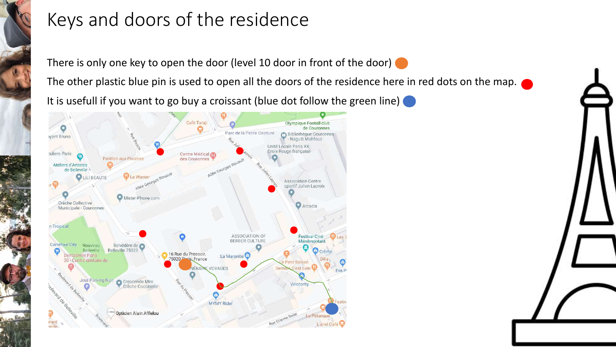### Keys and doors of the residence

There is only one key to open the door (level 10 door in front of the door)

The other plastic blue pin is used to open all the doors of the residence here in red dots on the map.

It is usefull if you want to go buy a croissant (blue dot follow the green line)



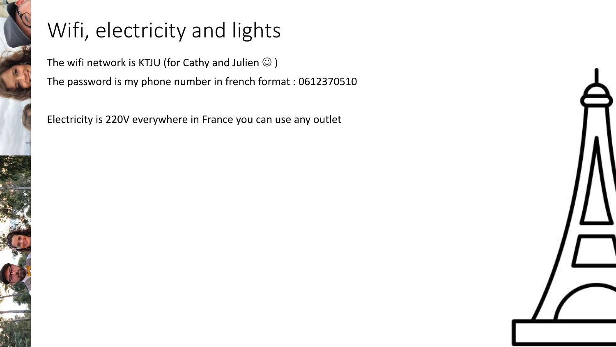## Wifi, electricity and lights

The wifi network is KTJU (for Cathy and Julien  $\odot$  ) The password is my phone number in french format : 0612370510

Electricity is 220V everywhere in France you can use any outlet

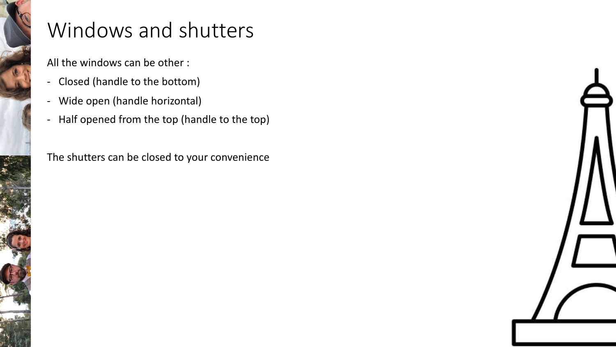## Windows and shutters

All the windows can be other :

- Closed (handle to the bottom)
- Wide open (handle horizontal)
- Half opened from the top (handle to the top)

The shutters can be closed to your convenience

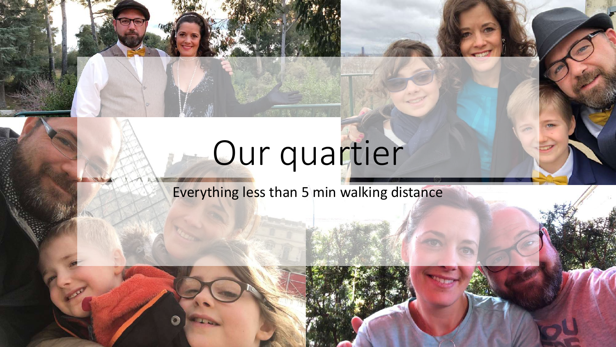## Our quartier

Everything less than 5 min walking distance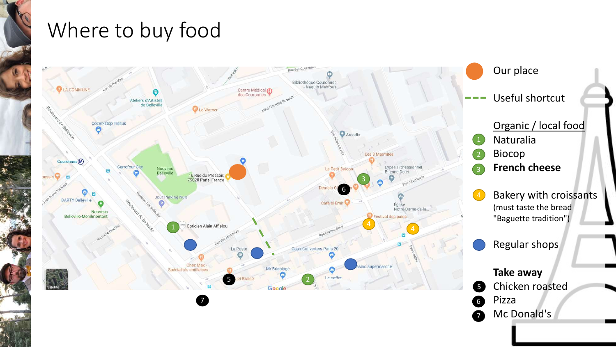## Where to buy food

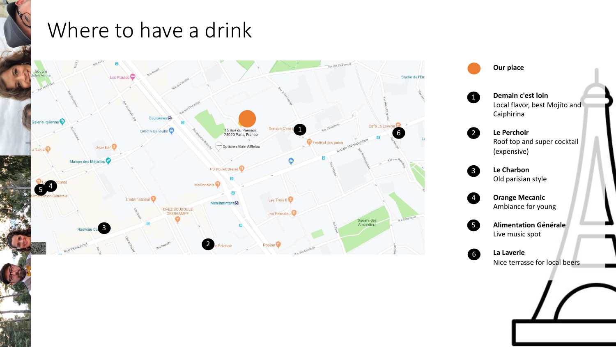### Where to have a drink





Nice terrasse for local beers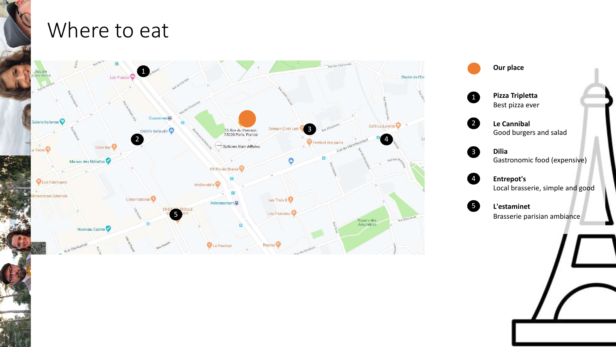#### Where to eat



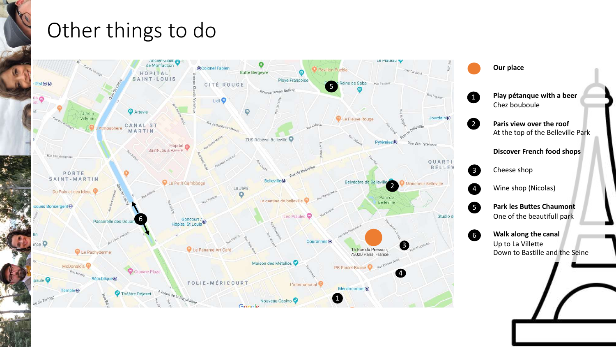### Other things to do

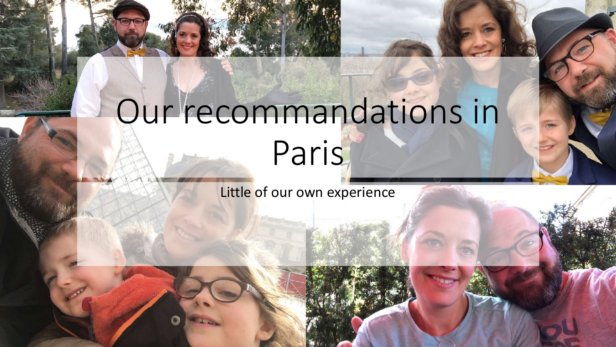## Our recommandations in Paris

Little of our own experience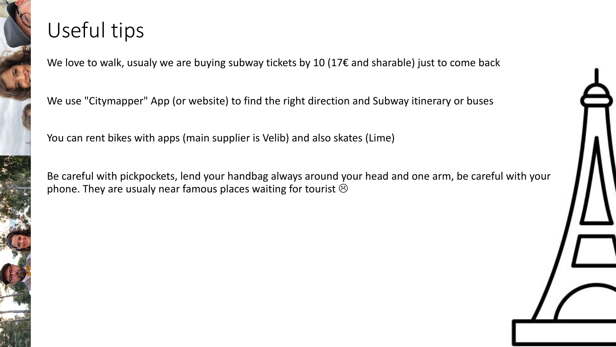## Useful tips

We love to walk, usualy we are buying subway tickets by 10 (17€ and sharable) just to come back

We use "Citymapper" App (or website) to find the right direction and Subway itinerary or buses

You can rent bikes with apps (main supplier is Velib) and also skates (Lime)

Be careful with pickpockets, lend your handbag always around your head and one arm, be careful with your phone. They are usualy near famous places waiting for tourist  $\odot$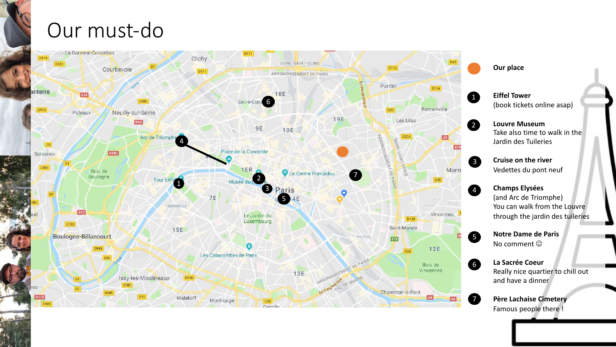## Our must -do

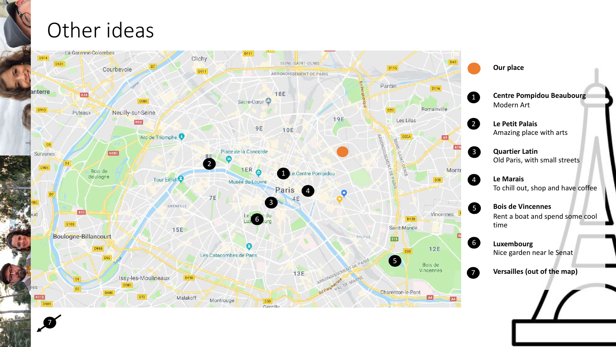#### Other ideas